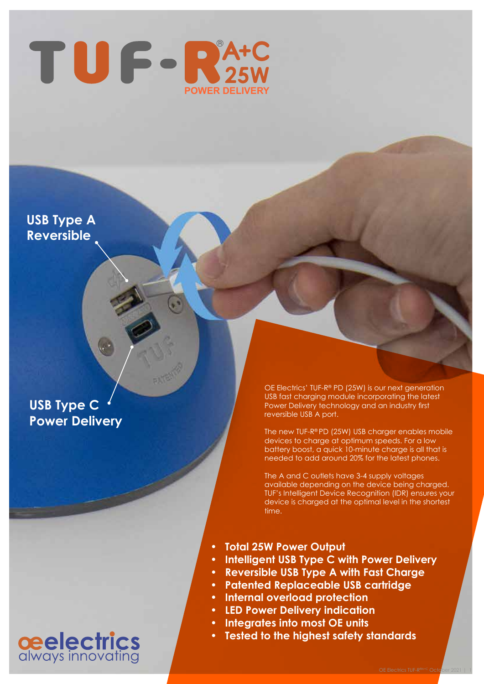

**USB Type A Reversible**

## **USB Type C Power Delivery**

OE Electrics' TUF-R® PD (25W) is our next generation USB fast charging module incorporating the latest Power Delivery technology and an industry first reversible USB A port.

The new TUF-R® PD (25W) USB charger enables mobile devices to charge at optimum speeds. For a low battery boost, a quick 10-minute charge is all that is needed to add around 20% for the latest phones.

The A and C outlets have 3-4 supply voltages available depending on the device being charged. TUF's Intelligent Device Recognition (IDR) ensures your device is charged at the optimal level in the shortest time.

- **• Total 25W Power Output**
- **• Intelligent USB Type C with Power Delivery**
- **• Reversible USB Type A with Fast Charge**
- **• Patented Replaceable USB cartridge**
- **• Internal overload protection**
- **• LED Power Delivery indication**
- **• Integrates into most OE units**
- **• Tested to the highest safety standards**

## **ceelectrics**<br>always innovating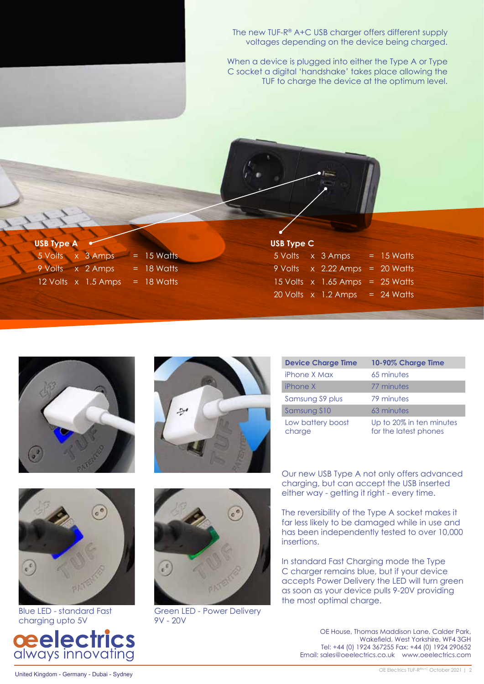The new TUF-R® A+C USB charger offers different supply voltages depending on the device being charged.

When a device is plugged into either the Type A or Type C socket a digital 'handshake' takes place allowing the TUF to charge the device at the optimum level.

| <b>USB Type A</b> |                     |              |
|-------------------|---------------------|--------------|
| 5 Volts x 3 Amps  |                     | $= 15$ Watts |
|                   | 9 Volts x 2 Amps    | $=$ 18 Watts |
|                   | 12 Volts x 1.5 Amps | $=$ 18 Watts |

|  | <b>USB Type C</b> |  |
|--|-------------------|--|
|--|-------------------|--|

| 5 Volts | $x3$ Amps                           | $= 15$ Watts |
|---------|-------------------------------------|--------------|
| 9 Volts | x 2.22 Amps                         | $= 20$ Watts |
|         | $15$ Volts $\overline{x}$ 1.65 Amps | $= 25$ Watts |
|         | 20 Volts x 1.2 Amps                 | $= 24$ Watts |





| <b>Device Charge Time</b>   | 10-90% Charge Time                                |
|-----------------------------|---------------------------------------------------|
| iPhone X Max                | 65 minutes                                        |
| iPhone X                    | 77 minutes                                        |
| Samsung S9 plus             | 79 minutes                                        |
| Samsung S10                 | 63 minutes                                        |
| Low battery boost<br>charge | Up to 20% in ten minutes<br>for the latest phones |



Blue LED - standard Fast charging upto 5V





Green LED - Power Delivery 9V - 20V

Our new USB Type A not only offers advanced charging, but can accept the USB inserted either way - getting it right - every time.

The reversibility of the Type A socket makes it far less likely to be damaged while in use and has been independently tested to over 10,000 insertions.

In standard Fast Charging mode the Type C charger remains blue, but if your device accepts Power Delivery the LED will turn green as soon as your device pulls 9-20V providing the most optimal charge.

OE House, Thomas Maddison Lane, Calder Park, Wakefield, West Yorkshire, WF4 3GH Tel: +44 (0) 1924 367255 Fax: +44 (0) 1924 290652 Email: sales@oeelectrics.co.uk www.oeelectrics.com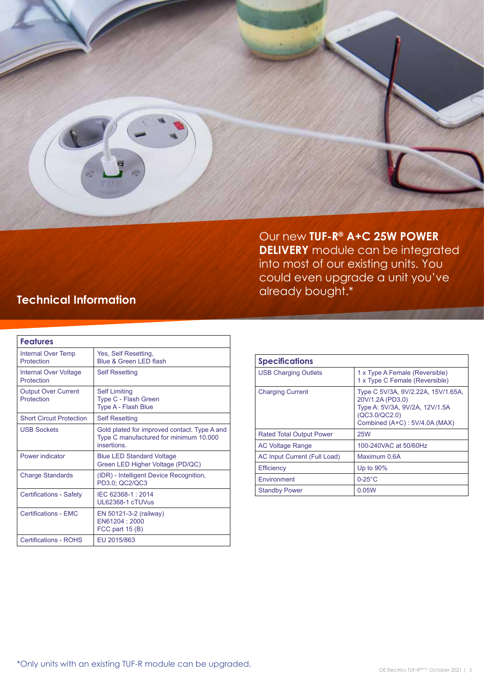

Our new **TUF-R® A+C 25W POWER DELIVERY** module can be integrated into most of our existing units. You could even upgrade a unit you've already bought.\*

## **Technical Information**

| <b>Features</b>                            |                                                                                                             |
|--------------------------------------------|-------------------------------------------------------------------------------------------------------------|
| Internal Over Temp<br>Protection           | Yes, Self Resetting,<br>Blue & Green LED flash                                                              |
| <b>Internal Over Voltage</b><br>Protection | <b>Self Resetting</b>                                                                                       |
| <b>Output Over Current</b><br>Protection   | <b>Self Limiting</b><br>Type C - Flash Green<br>Type A - Flash Blue                                         |
| <b>Short Circuit Protection</b>            | <b>Self Resetting</b>                                                                                       |
| <b>USB Sockets</b>                         | Gold plated for improved contact. Type A and<br>Type C manufactured for minimum 10.000<br><i>insertions</i> |
| Power indicator                            | <b>Blue LED Standard Voltage</b><br>Green LED Higher Voltage (PD/QC)                                        |
| <b>Charge Standards</b>                    | (IDR) - Intelligent Device Recognition,<br>PD3.0; QC2/QC3                                                   |
| <b>Certifications - Safety</b>             | IEC 62368-1: 2014<br>UL62368-1 cTUVus                                                                       |
| <b>Certifications - EMC</b>                | EN 50121-3-2 (railway)<br>EN61204: 2000<br>FCC part $15(B)$                                                 |
| <b>Certifications - ROHS</b>               | EU 2015/863                                                                                                 |

| <b>Specifications</b>           |                                                                                                                                            |
|---------------------------------|--------------------------------------------------------------------------------------------------------------------------------------------|
| <b>USB Charging Outlets</b>     | 1 x Type A Female (Reversible)<br>1 x Type C Female (Reversible)                                                                           |
| <b>Charging Current</b>         | Type C 5V/3A, 9V/2.22A, 15V/1.65A,<br>20V/1.2A (PD3.0)<br>Type A: 5V/3A, 9V/2A, 12V/1.5A<br>(QC3.0/QC2.0)<br>Combined (A+C): 5V/4.0A (MAX) |
| <b>Rated Total Output Power</b> | <b>25W</b>                                                                                                                                 |
| <b>AC Voltage Range</b>         | 100-240VAC at 50/60Hz                                                                                                                      |
| AC Input Current (Full Load)    | Maximum 0.6A                                                                                                                               |
| <b>Efficiency</b>               | Up to 90%                                                                                                                                  |
| Environment                     | $0-25$ °C                                                                                                                                  |
| <b>Standby Power</b>            | 0.05W                                                                                                                                      |